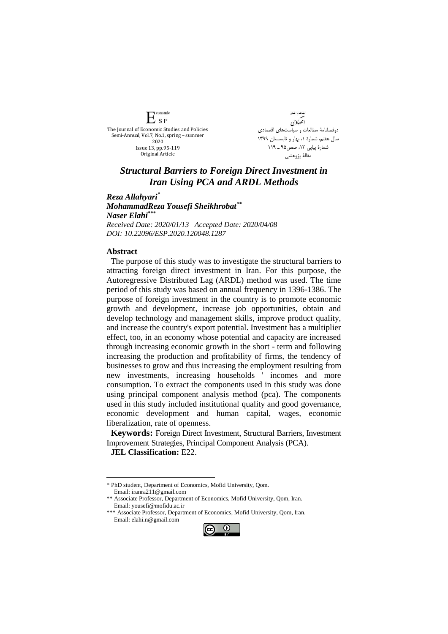**Conomic**  $E_{SP}$ The Journal of Economic Studies and Policies Semi-Annual, Vol.7, No.1, spring – summer 2020 Issue 13, pp.95-119 Original Article

دامات و باست*!ن* افضادي دوفصلنامۀ مطالعات و سیاستهای اقتصادی سال هفتم، شمارة ،1 بهار و تابسستان 1399 شمارة پیاپي ،13 صص95 ـ 119 مقالۀ پژوهشي

## *Structural Barriers to Foreign Direct Investment in Iran Using PCA and ARDL Methods*

*Reza Allahyari\* MohammadReza Yousefi Sheikhrobat\*\* Naser Elahi\*\*\* Received Date: 2020/01/13 Accepted Date: 2020/04/08 DOI: 10.22096/ESP.2020.120048.1287*

## **Abstract**

The purpose of this study was to investigate the structural barriers to attracting foreign direct investment in Iran. For this purpose, the Autoregressive Distributed Lag (ARDL) method was used. The time period of this study was based on annual frequency in 1396-1386. The purpose of foreign investment in the country is to promote economic growth and development, increase job opportunities, obtain and develop technology and management skills, improve product quality, and increase the country's export potential. Investment has a multiplier effect, too, in an economy whose potential and capacity are increased through increasing economic growth in the short - term and following increasing the production and profitability of firms, the tendency of businesses to grow and thus increasing the employment resulting from new investments, increasing households ' incomes and more consumption. To extract the components used in this study was done using principal component analysis method (pca). The components used in this study included institutional quality and good governance, economic development and human capital, wages, economic liberalization, rate of openness.

**Keywords:** Foreign Direct Investment, Structural Barriers, Investment Improvement Strategies, Principal Component Analysis (PCA).

**JEL Classification:** E22.

<u>.</u>

<sup>\*\*\*</sup> Associate Professor, Department of Economics, Mofid University, Qom, Iran. Email: elahi.n@gmail.com



<sup>\*</sup> PhD student, Department of Economics, Mofid University, Qom. Email: iranra211@gmail.com

<sup>\*\*</sup> Associate Professor, Department of Economics, Mofid University, Qom, Iran. Email: yousefi@mofidu.ac.ir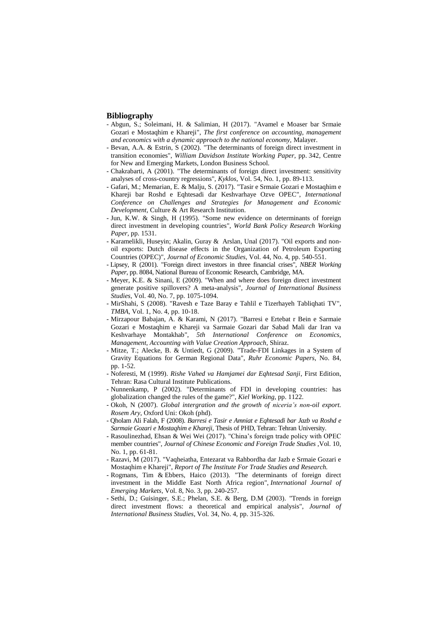## **Bibliography**

- Abgun, S.; Soleimani, H. & Salimian, H (2017). "Avamel e Moaser bar Srmaie Gozari e Mostaqhim e Khareji", *The first conference on accounting, management and economics with a dynamic approach to the national economy,* Malayer.
- Bevan, A.A. & Estrin, S (2002). "The determinants of foreign direct investment in transition economies", *William Davidson Institute Working Paper,* pp. 342, Centre for New and Emerging Markets, London Business School.
- Chakrabarti, A (2001). "The determinants of foreign direct investment: sensitivity analyses of cross-country regressions", *Kyklos*, Vol. 54, No. 1, pp. 89-113.
- Gafari, M.; Memarian, E. & Malju, S. (2017). "Tasir e Srmaie Gozari e Mostaqhim e Khareji bar Roshd e Eqhtesadi dar Keshvarhaye Ozve OPEC", *International Conference on Challenges and Strategies for Management and Economic Development,* Culture & Art Research Institution.
- Jun, K.W. & Singh, H (1995). "Some new evidence on determinants of foreign direct investment in developing countries", *World Bank Policy Research Working Paper,* pp. 1531.
- Karamelikli, Huseyin; Akalin, Guray & Arslan, Unal (2017). "Oil exports and nonoil exports: Dutch disease effects in the Organization of Petroleum Exporting Countries (OPEC)", *Journal of Economic Studies*, Vol. 44, No. 4, pp. 540-551.
- Lipsey, R (2001). "Foreign direct investors in three financial crises", *NBER Working Paper*, pp. 8084, National Bureau of Economic Research, Cambridge, MA.
- Meyer, K.E. & Sinani, E (2009). "When and where does foreign direct investment generate positive spillovers? A meta-analysis", *Journal of International Business Studies*, Vol. 40, No. 7, pp. 1075-1094.
- MirShahi, S (2008). "Ravesh e Taze Baray e Tahlil e Tizerhayeh Tabliqhati TV", *TMBA*, Vol. 1, No. 4, pp. 10-18.
- Mirzapour Babajan, A. & Karami, N (2017). "Barresi e Ertebat r Bein e Sarmaie Gozari e Mostaqhim e Khareji va Sarmaie Gozari dar Sabad Mali dar Iran va Keshvarhaye Montakhab", *5th International Conference on Economics, Management, Accounting with Value Creation Approach*, Shiraz.
- Mitze, T.; Alecke, B. & Untiedt, G (2009). "Trade-FDI Linkages in a System of Gravity Equations for German Regional Data", *Ruhr Economic Papers*, No. 84, pp. 1-52.
- Noferesti, M (1999). *Rishe Vahed va Hamjamei dar Eqhtesad Sanji*, First Edition, Tehran: Rasa Cultural Institute Publications.
- Nunnenkamp, P (2002). "Determinants of FDI in developing countries: has globalization changed the rules of the game?", *Kiel Working,* pp. 1122.
- Okoh, N (2007). *Global intergration and the growth of niceria's non-oil export. Rosem Ary*, Oxford Uni: Okoh (phd).
- Qholam Ali Falah, F (2008). *Barresi e Tasir e Amniat e Eqhtesadi bar Jazb va Roshd e Sarmaie Gozari e Mostaqhim e Khareji*, Thesis of PHD, Tehran: Tehran University.
- Rasoulinezhad, Ehsan & Wei Wei (2017). "China's foreign trade policy with OPEC member countries", *Journal of Chinese Economic and Foreign Trade Studies* ,Vol. 10, No. 1, pp. 61-81.
- Razavi, M (2017). "Vaqheiatha, Entezarat va Rahbordha dar Jazb e Srmaie Gozari e Mostaqhim e Khareji", *Report of The Institute For Trade Studies and Research.*
- Rogmans, Tim & Ebbers, Haico (2013). "The determinants of foreign direct investment in the Middle East North Africa region", *International Journal of Emerging Markets*, Vol. 8, No. 3, pp. 240-257.
- Sethi, D.; Guisinger, S.E.; Phelan, S.E. & Berg, D.M (2003). "Trends in foreign direct investment flows: a theoretical and empirical analysis", *Journal of International Business Studies*, Vol. 34, No. 4, pp. 315-326.